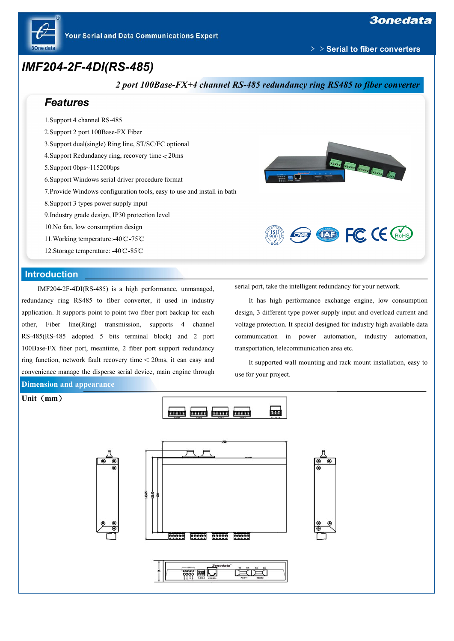

﹥﹥**Serial to fiber converters**

## *IMF204-2F-4DI(RS-485)*



IMF204-2F-4DI(RS-485) is a high performance, unmanaged, redundancy ring RS485 to fiber converter, it used in industry application. It supports point to point two fiber port backup for each other, Fiber line(Ring) transmission, supports 4 channel RS-485(RS-485 adopted 5 bits terminal block) and 2 port 100Base-FX fiber port, meantime, 2 fiber port support redundancy ring function, network fault recovery time<20ms, it can easy and convenience manage the disperse serial device, main engine through **Dimension and appearance**

serial port, take the intelligent redundancy for your network.

It has high performance exchange engine, low consumption design, 3 different type power supply input and overload current and voltage protection. It special designed for industry high available data communication in power automation, industry automation, transportation, telecommunication area etc.

It supported wall mounting and rack mount installation, easy to use for your project.